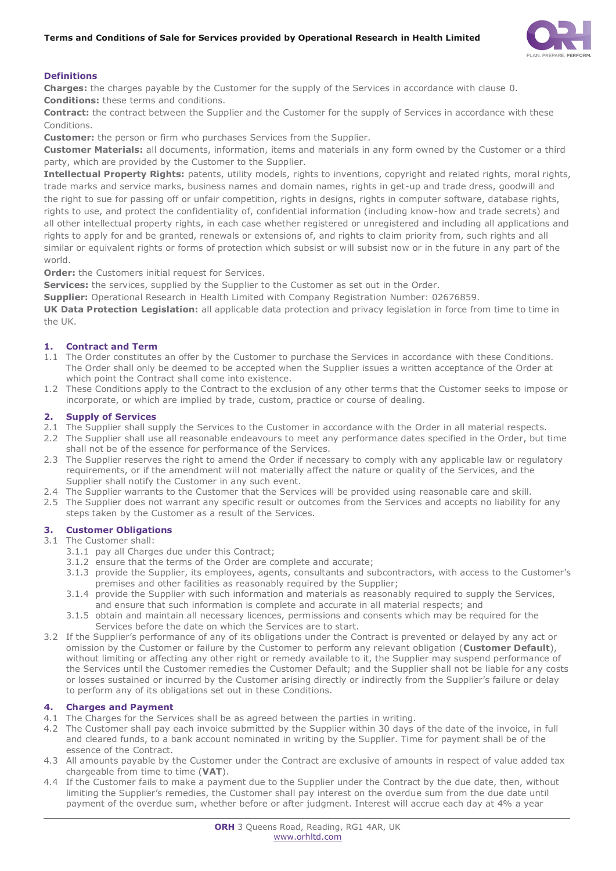

# **Definitions**

**Charges:** the charges payable by the Customer for the supply of the Services in accordance with clause [0.](#page-0-0) **Conditions:** these terms and conditions.

**Contract:** the contract between the Supplier and the Customer for the supply of Services in accordance with these Conditions.

**Customer:** the person or firm who purchases Services from the Supplier.

**Customer Materials:** all documents, information, items and materials in any form owned by the Customer or a third party, which are provided by the Customer to the Supplier.

**Intellectual Property Rights:** patents, utility models, rights to inventions, copyright and related rights, moral rights, trade marks and service marks, business names and domain names, rights in get-up and trade dress, goodwill and the right to sue for passing off or unfair competition, rights in designs, rights in computer software, database rights, rights to use, and protect the confidentiality of, confidential information (including know-how and trade secrets) and all other intellectual property rights, in each case whether registered or unregistered and including all applications and rights to apply for and be granted, renewals or extensions of, and rights to claim priority from, such rights and all similar or equivalent rights or forms of protection which subsist or will subsist now or in the future in any part of the world.

**Order:** the Customers initial request for Services.

**Services:** the services, supplied by the Supplier to the Customer as set out in the Order.

**Supplier:** Operational Research in Health Limited with Company Registration Number: 02676859.

**UK Data Protection Legislation:** all applicable data protection and privacy legislation in force from time to time in the UK.

# **1. Contract and Term**

- 1.1 The Order constitutes an offer by the Customer to purchase the Services in accordance with these Conditions. The Order shall only be deemed to be accepted when the Supplier issues a written acceptance of the Order at which point the Contract shall come into existence.
- 1.2 These Conditions apply to the Contract to the exclusion of any other terms that the Customer seeks to impose or incorporate, or which are implied by trade, custom, practice or course of dealing.

# **2. Supply of Services**

- 2.1 The Supplier shall supply the Services to the Customer in accordance with the Order in all material respects.
- 2.2 The Supplier shall use all reasonable endeavours to meet any performance dates specified in the Order, but time shall not be of the essence for performance of the Services.
- 2.3 The Supplier reserves the right to amend the Order if necessary to comply with any applicable law or regulatory requirements, or if the amendment will not materially affect the nature or quality of the Services, and the Supplier shall notify the Customer in any such event.
- 2.4 The Supplier warrants to the Customer that the Services will be provided using reasonable care and skill.
- 2.5 The Supplier does not warrant any specific result or outcomes from the Services and accepts no liability for any steps taken by the Customer as a result of the Services.

# **3. Customer Obligations**

3.1 The Customer shall:

- 3.1.1 pay all Charges due under this Contract;
- 3.1.2 ensure that the terms of the Order are complete and accurate;
- 3.1.3 provide the Supplier, its employees, agents, consultants and subcontractors, with access to the Customer's premises and other facilities as reasonably required by the Supplier;
- 3.1.4 provide the Supplier with such information and materials as reasonably required to supply the Services, and ensure that such information is complete and accurate in all material respects; and
- 3.1.5 obtain and maintain all necessary licences, permissions and consents which may be required for the Services before the date on which the Services are to start.
- 3.2 If the Supplier's performance of any of its obligations under the Contract is prevented or delayed by any act or omission by the Customer or failure by the Customer to perform any relevant obligation (**Customer Default**), without limiting or affecting any other right or remedy available to it, the Supplier may suspend performance of the Services until the Customer remedies the Customer Default; and the Supplier shall not be liable for any costs or losses sustained or incurred by the Customer arising directly or indirectly from the Supplier's failure or delay to perform any of its obligations set out in these Conditions.

# <span id="page-0-0"></span>**4. Charges and Payment**

- 4.1 The Charges for the Services shall be as agreed between the parties in writing.
- 4.2 The Customer shall pay each invoice submitted by the Supplier within 30 days of the date of the invoice, in full and cleared funds, to a bank account nominated in writing by the Supplier. Time for payment shall be of the essence of the Contract.
- 4.3 All amounts payable by the Customer under the Contract are exclusive of amounts in respect of value added tax chargeable from time to time (**VAT**).
- 4.4 If the Customer fails to make a payment due to the Supplier under the Contract by the due date, then, without limiting the Supplier's remedies, the Customer shall pay interest on the overdue sum from the due date until payment of the overdue sum, whether before or after judgment. Interest will accrue each day at 4% a year